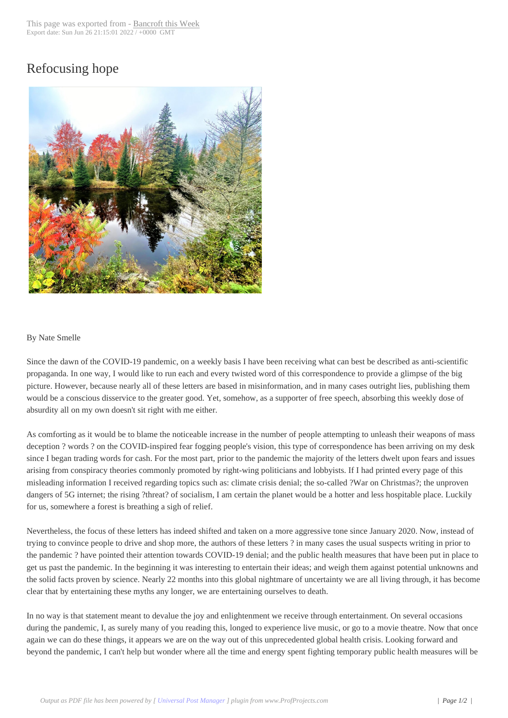## Refocusing hope



## By Nate Smelle

Since the dawn of the COVID-19 pandemic, on a weekly basis I have been receiving what can best be described as anti-scientific propaganda. In one way, I would like to run each and every twisted word of this correspondence to provide a glimpse of the big picture. However, because nearly all of these letters are based in misinformation, and in many cases outright lies, publishing them would be a conscious disservice to the greater good. Yet, somehow, as a supporter of free speech, absorbing this weekly dose of absurdity all on my own doesn't sit right with me either.

As comforting as it would be to blame the noticeable increase in the number of people attempting to unleash their weapons of mass deception ? words ? on the COVID-inspired fear fogging people's vision, this type of correspondence has been arriving on my desk since I began trading words for cash. For the most part, prior to the pandemic the majority of the letters dwelt upon fears and issues arising from conspiracy theories commonly promoted by right-wing politicians and lobbyists. If I had printed every page of this misleading information I received regarding topics such as: climate crisis denial; the so-called ?War on Christmas?; the unproven dangers of 5G internet; the rising ?threat? of socialism, I am certain the planet would be a hotter and less hospitable place. Luckily for us, somewhere a forest is breathing a sigh of relief.

Nevertheless, the focus of these letters has indeed shifted and taken on a more aggressive tone since January 2020. Now, instead of trying to convince people to drive and shop more, the authors of these letters ? in many cases the usual suspects writing in prior to the pandemic ? have pointed their attention towards COVID-19 denial; and the public health measures that have been put in place to get us past the pandemic. In the beginning it was interesting to entertain their ideas; and weigh them against potential unknowns and the solid facts proven by science. Nearly 22 months into this global nightmare of uncertainty we are all living through, it has become clear that by entertaining these myths any longer, we are entertaining ourselves to death.

In no way is that statement meant to devalue the joy and enlightenment we receive through entertainment. On several occasions during the pandemic, I, as surely many of you reading this, longed to experience live music, or go to a movie theatre. Now that once again we can do these things, it appears we are on the way out of this unprecedented global health crisis. Looking forward and beyond the pandemic, I can't help but wonder where all the time and energy spent fighting temporary public health measures will be